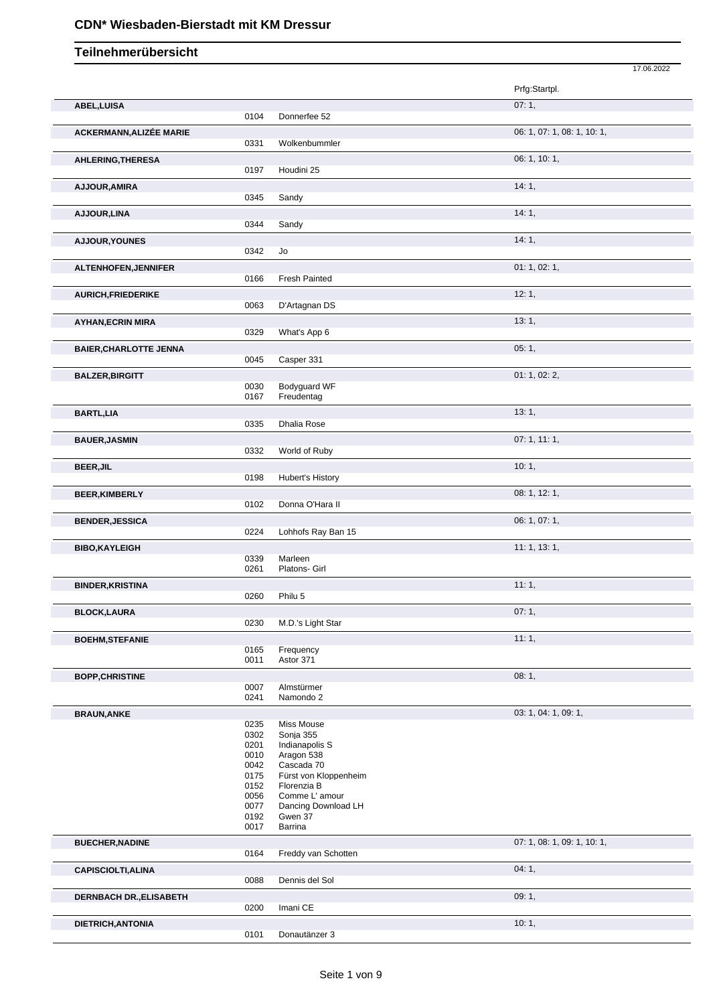# **CDN\* Wiesbaden-Bierstadt mit KM Dressur**

|                                |              |                                | 17.06.2022                  |
|--------------------------------|--------------|--------------------------------|-----------------------------|
|                                |              |                                | Prfg:Startpl.               |
| ABEL, LUISA                    |              |                                | 07:1,                       |
|                                | 0104         | Donnerfee 52                   |                             |
| <b>ACKERMANN, ALIZÉE MARIE</b> |              |                                | 06: 1, 07: 1, 08: 1, 10: 1, |
|                                | 0331         | Wolkenbummler                  |                             |
| AHLERING, THERESA              |              |                                | 06: 1, 10: 1,               |
|                                | 0197         | Houdini 25                     |                             |
| AJJOUR, AMIRA                  |              |                                | 14:1,                       |
|                                | 0345         | Sandy                          |                             |
| AJJOUR, LINA                   |              |                                | 14:1,                       |
|                                | 0344         | Sandy                          |                             |
| AJJOUR, YOUNES                 |              |                                | 14:1,                       |
|                                | 0342         | Jo                             |                             |
| ALTENHOFEN, JENNIFER           |              |                                | 01: 1, 02: 1,               |
|                                | 0166         | Fresh Painted                  |                             |
| <b>AURICH, FRIEDERIKE</b>      |              |                                | 12:1,                       |
|                                | 0063         | D'Artagnan DS                  |                             |
| <b>AYHAN, ECRIN MIRA</b>       |              |                                | 13:1,                       |
|                                | 0329         | What's App 6                   |                             |
| <b>BAIER, CHARLOTTE JENNA</b>  |              |                                | 05:1,                       |
|                                | 0045         | Casper 331                     |                             |
| <b>BALZER, BIRGITT</b>         |              |                                | 01: 1, 02: 2,               |
|                                | 0030         | Bodyguard WF                   |                             |
|                                | 0167         | Freudentag                     |                             |
| <b>BARTL,LIA</b>               |              |                                | 13:1,                       |
|                                | 0335         | Dhalia Rose                    |                             |
| <b>BAUER, JASMIN</b>           |              |                                | 07: 1, 11: 1,               |
|                                | 0332         | World of Ruby                  |                             |
| <b>BEER, JIL</b>               |              |                                | 10:1,                       |
|                                | 0198         | <b>Hubert's History</b>        |                             |
| <b>BEER, KIMBERLY</b>          |              |                                | 08: 1, 12: 1,               |
|                                | 0102         | Donna O'Hara II                |                             |
| <b>BENDER, JESSICA</b>         |              |                                | 06: 1, 07: 1,               |
|                                | 0224         | Lohhofs Ray Ban 15             |                             |
| <b>BIBO,KAYLEIGH</b>           |              |                                | 11:1, 13:1,                 |
|                                | 0339<br>0261 | Marleen<br>Platons- Girl       |                             |
|                                |              |                                | 11:1,                       |
| <b>BINDER, KRISTINA</b>        | 0260         | Philu 5                        |                             |
| <b>BLOCK,LAURA</b>             |              |                                | 07:1,                       |
|                                | 0230         | M.D.'s Light Star              |                             |
| <b>BOEHM, STEFANIE</b>         |              |                                | 11:1,                       |
|                                | 0165         | Frequency                      |                             |
|                                | 0011         | Astor 371                      |                             |
| <b>BOPP, CHRISTINE</b>         |              |                                | 08:1,                       |
|                                | 0007         | Almstürmer                     |                             |
|                                | 0241         | Namondo 2                      |                             |
| <b>BRAUN, ANKE</b>             |              |                                | 03: 1, 04: 1, 09: 1,        |
|                                | 0235<br>0302 | Miss Mouse<br>Sonja 355        |                             |
|                                | 0201         | Indianapolis S                 |                             |
|                                | 0010         | Aragon 538                     |                             |
|                                | 0042         | Cascada 70                     |                             |
|                                | 0175         | Fürst von Kloppenheim          |                             |
|                                | 0152         | Florenzia B                    |                             |
|                                | 0056         | Comme L'amour                  |                             |
|                                | 0077<br>0192 | Dancing Download LH<br>Gwen 37 |                             |
|                                | 0017         | Barrina                        |                             |
| <b>BUECHER, NADINE</b>         |              |                                | 07: 1, 08: 1, 09: 1, 10: 1, |
|                                | 0164         | Freddy van Schotten            |                             |
| <b>CAPISCIOLTI, ALINA</b>      |              |                                | 04:1,                       |
|                                | 0088         | Dennis del Sol                 |                             |
| <b>DERNBACH DR., ELISABETH</b> |              |                                | 09:1,                       |
|                                | 0200         | Imani CE                       |                             |
| DIETRICH, ANTONIA              |              |                                | 10:1,                       |
|                                | 0101         | Donautänzer 3                  |                             |
|                                |              |                                |                             |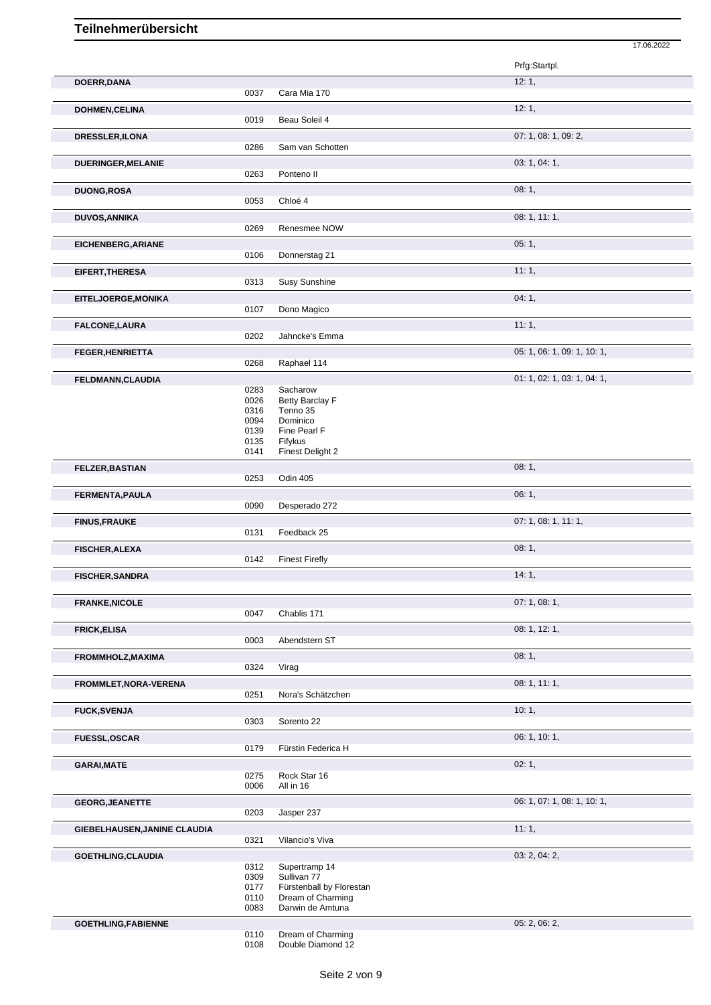|      |                                                                                                                                      | 17.06.2022                                                                                                                                                                                                                                                                        |
|------|--------------------------------------------------------------------------------------------------------------------------------------|-----------------------------------------------------------------------------------------------------------------------------------------------------------------------------------------------------------------------------------------------------------------------------------|
|      |                                                                                                                                      | Prfg:Startpl.                                                                                                                                                                                                                                                                     |
|      |                                                                                                                                      | 12:1,                                                                                                                                                                                                                                                                             |
|      |                                                                                                                                      |                                                                                                                                                                                                                                                                                   |
|      |                                                                                                                                      | 12:1,                                                                                                                                                                                                                                                                             |
|      |                                                                                                                                      |                                                                                                                                                                                                                                                                                   |
|      |                                                                                                                                      | 07: 1, 08: 1, 09: 2,                                                                                                                                                                                                                                                              |
|      |                                                                                                                                      |                                                                                                                                                                                                                                                                                   |
|      |                                                                                                                                      | 03: 1, 04: 1,                                                                                                                                                                                                                                                                     |
|      |                                                                                                                                      |                                                                                                                                                                                                                                                                                   |
|      |                                                                                                                                      | 08:1,                                                                                                                                                                                                                                                                             |
|      |                                                                                                                                      |                                                                                                                                                                                                                                                                                   |
|      |                                                                                                                                      | 08: 1, 11: 1,                                                                                                                                                                                                                                                                     |
|      |                                                                                                                                      |                                                                                                                                                                                                                                                                                   |
|      |                                                                                                                                      | 05:1,                                                                                                                                                                                                                                                                             |
|      |                                                                                                                                      |                                                                                                                                                                                                                                                                                   |
|      |                                                                                                                                      | 11:1,                                                                                                                                                                                                                                                                             |
| 0313 |                                                                                                                                      |                                                                                                                                                                                                                                                                                   |
|      |                                                                                                                                      | 04:1,                                                                                                                                                                                                                                                                             |
| 0107 | Dono Magico                                                                                                                          |                                                                                                                                                                                                                                                                                   |
|      |                                                                                                                                      | 11:1,                                                                                                                                                                                                                                                                             |
| 0202 | Jahncke's Emma                                                                                                                       |                                                                                                                                                                                                                                                                                   |
|      |                                                                                                                                      | 05: 1, 06: 1, 09: 1, 10: 1,                                                                                                                                                                                                                                                       |
| 0268 | Raphael 114                                                                                                                          |                                                                                                                                                                                                                                                                                   |
|      |                                                                                                                                      | 01: 1, 02: 1, 03: 1, 04: 1,                                                                                                                                                                                                                                                       |
| 0283 | Sacharow                                                                                                                             |                                                                                                                                                                                                                                                                                   |
| 0026 | Betty Barclay F                                                                                                                      |                                                                                                                                                                                                                                                                                   |
|      |                                                                                                                                      |                                                                                                                                                                                                                                                                                   |
|      |                                                                                                                                      |                                                                                                                                                                                                                                                                                   |
|      |                                                                                                                                      |                                                                                                                                                                                                                                                                                   |
| 0141 | Finest Delight 2                                                                                                                     |                                                                                                                                                                                                                                                                                   |
|      |                                                                                                                                      | 08:1,                                                                                                                                                                                                                                                                             |
| 0253 | Odin 405                                                                                                                             |                                                                                                                                                                                                                                                                                   |
|      |                                                                                                                                      | 06:1,                                                                                                                                                                                                                                                                             |
| 0090 | Desperado 272                                                                                                                        |                                                                                                                                                                                                                                                                                   |
|      |                                                                                                                                      | 07: 1, 08: 1, 11: 1,                                                                                                                                                                                                                                                              |
| 0131 | Feedback 25                                                                                                                          |                                                                                                                                                                                                                                                                                   |
|      |                                                                                                                                      | 08:1,                                                                                                                                                                                                                                                                             |
|      |                                                                                                                                      |                                                                                                                                                                                                                                                                                   |
|      |                                                                                                                                      |                                                                                                                                                                                                                                                                                   |
|      |                                                                                                                                      | 14:1,                                                                                                                                                                                                                                                                             |
|      |                                                                                                                                      |                                                                                                                                                                                                                                                                                   |
|      |                                                                                                                                      | 07: 1, 08: 1,                                                                                                                                                                                                                                                                     |
|      |                                                                                                                                      |                                                                                                                                                                                                                                                                                   |
|      |                                                                                                                                      | 08: 1, 12: 1,                                                                                                                                                                                                                                                                     |
|      |                                                                                                                                      |                                                                                                                                                                                                                                                                                   |
|      |                                                                                                                                      | 08:1,                                                                                                                                                                                                                                                                             |
|      |                                                                                                                                      |                                                                                                                                                                                                                                                                                   |
|      |                                                                                                                                      | 08: 1, 11: 1,                                                                                                                                                                                                                                                                     |
| 0251 | Nora's Schätzchen                                                                                                                    |                                                                                                                                                                                                                                                                                   |
|      |                                                                                                                                      | 10:1,                                                                                                                                                                                                                                                                             |
| 0303 | Sorento 22                                                                                                                           |                                                                                                                                                                                                                                                                                   |
|      |                                                                                                                                      | 06: 1, 10: 1,                                                                                                                                                                                                                                                                     |
| 0179 | Fürstin Federica H                                                                                                                   |                                                                                                                                                                                                                                                                                   |
|      |                                                                                                                                      | 02:1,                                                                                                                                                                                                                                                                             |
| 0275 | Rock Star 16                                                                                                                         |                                                                                                                                                                                                                                                                                   |
| 0006 | All in 16                                                                                                                            |                                                                                                                                                                                                                                                                                   |
|      |                                                                                                                                      | 06: 1, 07: 1, 08: 1, 10: 1,                                                                                                                                                                                                                                                       |
| 0203 | Jasper 237                                                                                                                           |                                                                                                                                                                                                                                                                                   |
|      |                                                                                                                                      | 11:1,                                                                                                                                                                                                                                                                             |
| 0321 | Vilancio's Viva                                                                                                                      |                                                                                                                                                                                                                                                                                   |
|      |                                                                                                                                      |                                                                                                                                                                                                                                                                                   |
|      |                                                                                                                                      | 03: 2, 04: 2,                                                                                                                                                                                                                                                                     |
|      |                                                                                                                                      |                                                                                                                                                                                                                                                                                   |
| 0177 | Fürstenball by Florestan                                                                                                             |                                                                                                                                                                                                                                                                                   |
| 0110 | Dream of Charming                                                                                                                    |                                                                                                                                                                                                                                                                                   |
| 0083 | Darwin de Amtuna                                                                                                                     |                                                                                                                                                                                                                                                                                   |
|      | Dream of Charming                                                                                                                    | 05: 2, 06: 2,                                                                                                                                                                                                                                                                     |
|      |                                                                                                                                      |                                                                                                                                                                                                                                                                                   |
|      | 0037<br>0019<br>0286<br>0263<br>0053<br>0269<br>0106<br>0316<br>0094<br>0139<br>0135<br>0142<br>0047<br>0003<br>0324<br>0312<br>0309 | Cara Mia 170<br>Beau Soleil 4<br>Sam van Schotten<br>Ponteno II<br>Chloé 4<br>Renesmee NOW<br>Donnerstag 21<br>Susy Sunshine<br>Tenno 35<br>Dominico<br>Fine Pearl F<br>Fifykus<br><b>Finest Firefly</b><br>Chablis 171<br>Abendstern ST<br>Virag<br>Supertramp 14<br>Sullivan 77 |

0108 Double Diamond 12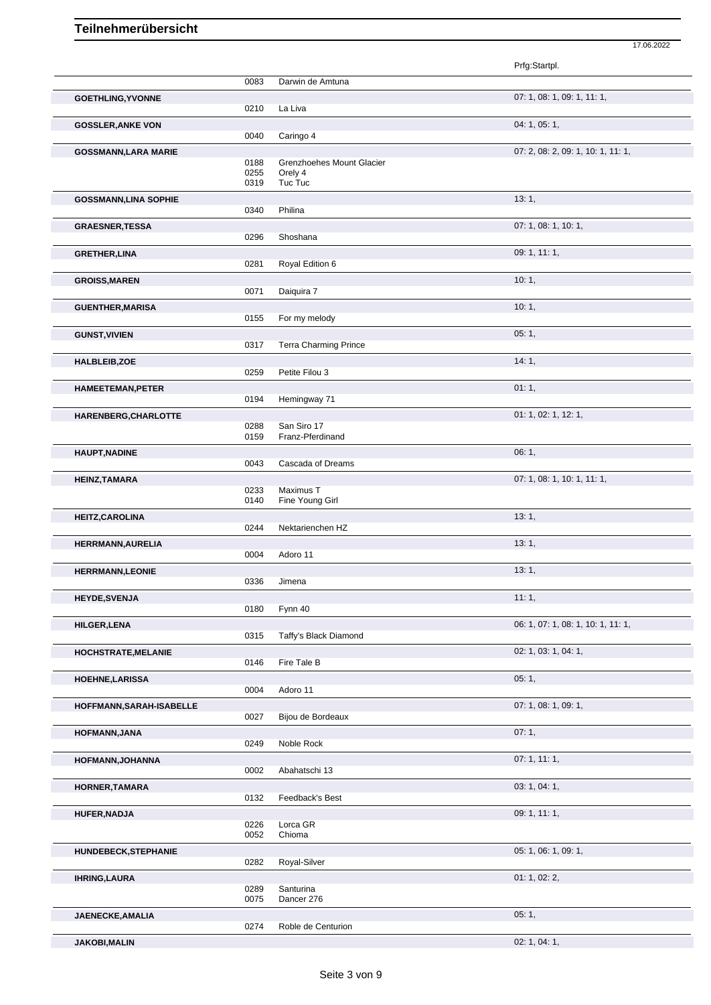|                              |              |                              | Prfg:Startpl.                      |
|------------------------------|--------------|------------------------------|------------------------------------|
|                              | 0083         | Darwin de Amtuna             |                                    |
| <b>GOETHLING, YVONNE</b>     |              |                              | 07: 1, 08: 1, 09: 1, 11: 1,        |
|                              | 0210         | La Liva                      |                                    |
| <b>GOSSLER, ANKE VON</b>     |              |                              | 04: 1, 05: 1,                      |
|                              | 0040         | Caringo 4                    |                                    |
|                              |              |                              | 07: 2, 08: 2, 09: 1, 10: 1, 11: 1, |
| <b>GOSSMANN, LARA MARIE</b>  | 0188         | Grenzhoehes Mount Glacier    |                                    |
|                              | 0255         | Orely 4                      |                                    |
|                              | 0319         | Tuc Tuc                      |                                    |
| <b>GOSSMANN, LINA SOPHIE</b> |              |                              | 13:1,                              |
|                              | 0340         | Philina                      |                                    |
| <b>GRAESNER, TESSA</b>       |              |                              | 07: 1, 08: 1, 10: 1,               |
|                              | 0296         | Shoshana                     |                                    |
|                              |              |                              | 09: 1, 11: 1,                      |
| <b>GRETHER, LINA</b>         | 0281         | Royal Edition 6              |                                    |
|                              |              |                              |                                    |
| <b>GROISS, MAREN</b>         | 0071         |                              | 10:1,                              |
|                              |              | Daiguira 7                   |                                    |
| <b>GUENTHER, MARISA</b>      |              |                              | 10:1,                              |
|                              | 0155         | For my melody                |                                    |
| <b>GUNST, VIVIEN</b>         |              |                              | 05:1,                              |
|                              | 0317         | <b>Terra Charming Prince</b> |                                    |
| HALBLEIB, ZOE                |              |                              | 14:1,                              |
|                              | 0259         | Petite Filou 3               |                                    |
| <b>HAMEETEMAN, PETER</b>     |              |                              | 01:1,                              |
|                              | 0194         | Hemingway 71                 |                                    |
|                              |              |                              |                                    |
| HARENBERG, CHARLOTTE         | 0288         | San Siro 17                  | 01: 1, 02: 1, 12: 1,               |
|                              | 0159         | Franz-Pferdinand             |                                    |
|                              |              |                              |                                    |
| <b>HAUPT, NADINE</b>         | 0043         | Cascada of Dreams            | 06:1,                              |
|                              |              |                              |                                    |
| HEINZ, TAMARA                |              |                              | 07: 1, 08: 1, 10: 1, 11: 1,        |
|                              | 0233<br>0140 | Maximus T<br>Fine Young Girl |                                    |
|                              |              |                              |                                    |
| <b>HEITZ, CAROLINA</b>       |              |                              | 13:1,                              |
|                              | 0244         | Nektarienchen HZ             |                                    |
| <b>HERRMANN, AURELIA</b>     |              |                              | 13:1,                              |
|                              | 0004         | Adoro 11                     |                                    |
| <b>HERRMANN,LEONIE</b>       |              |                              | 13:1,                              |
|                              | 0336         | Jimena                       |                                    |
| <b>HEYDE, SVENJA</b>         |              |                              | 11:1,                              |
|                              | 0180         | Fynn 40                      |                                    |
| <b>HILGER,LENA</b>           |              |                              | 06: 1, 07: 1, 08: 1, 10: 1, 11: 1, |
|                              | 0315         | Taffy's Black Diamond        |                                    |
|                              |              |                              |                                    |
| HOCHSTRATE, MELANIE          |              | Fire Tale B                  | 02: 1, 03: 1, 04: 1,               |
|                              | 0146         |                              |                                    |
| <b>HOEHNE, LARISSA</b>       |              |                              | 05:1,                              |
|                              | 0004         | Adoro 11                     |                                    |
| HOFFMANN, SARAH-ISABELLE     |              |                              | 07: 1, 08: 1, 09: 1,               |
|                              | 0027         | Bijou de Bordeaux            |                                    |
| HOFMANN, JANA                |              |                              | 07:1,                              |
|                              | 0249         | Noble Rock                   |                                    |
| HOFMANN, JOHANNA             |              |                              | 07:1, 11:1,                        |
|                              | 0002         | Abahatschi 13                |                                    |
|                              |              |                              |                                    |
| HORNER, TAMARA               | 0132         | Feedback's Best              | 03: 1, 04: 1,                      |
|                              |              |                              |                                    |
| HUFER, NADJA                 |              |                              | 09:1, 11:1,                        |
|                              | 0226<br>0052 | Lorca GR<br>Chioma           |                                    |
|                              |              |                              |                                    |
| <b>HUNDEBECK, STEPHANIE</b>  |              |                              | 05: 1, 06: 1, 09: 1,               |
|                              | 0282         | Royal-Silver                 |                                    |
| <b>IHRING, LAURA</b>         |              |                              | 01: 1, 02: 2,                      |
|                              | 0289         | Santurina                    |                                    |
|                              | 0075         | Dancer 276                   |                                    |
| JAENECKE, AMALIA             |              |                              | 05:1,                              |
|                              | 0274         | Roble de Centurion           |                                    |
| <b>JAKOBI, MALIN</b>         |              |                              | 02: 1, 04: 1,                      |
|                              |              |                              |                                    |

17.06.2022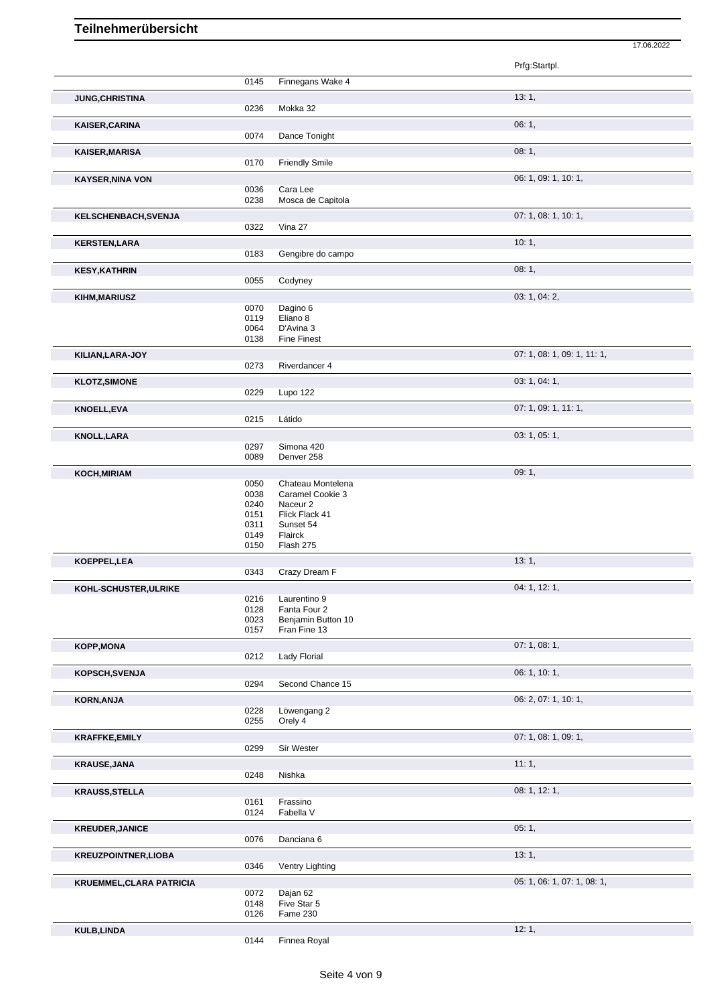17.06.2022

|                                 |              |                          | Prfg:Startpl.               |
|---------------------------------|--------------|--------------------------|-----------------------------|
|                                 | 0145         | Finnegans Wake 4         |                             |
| <b>JUNG, CHRISTINA</b>          |              |                          | 13:1,                       |
|                                 | 0236         | Mokka 32                 |                             |
| <b>KAISER, CARINA</b>           |              |                          | 06:1,                       |
|                                 | 0074         | Dance Tonight            |                             |
| <b>KAISER, MARISA</b>           |              |                          | 08:1,                       |
|                                 | 0170         | <b>Friendly Smile</b>    |                             |
| <b>KAYSER, NINA VON</b>         |              |                          | 06: 1, 09: 1, 10: 1,        |
|                                 | 0036         | Cara Lee                 |                             |
|                                 | 0238         | Mosca de Capitola        |                             |
| KELSCHENBACH, SVENJA            |              |                          | 07: 1, 08: 1, 10: 1,        |
|                                 | 0322         | Vina 27                  |                             |
| <b>KERSTEN,LARA</b>             |              |                          | 10:1,                       |
|                                 | 0183         | Gengibre do campo        |                             |
| <b>KESY, KATHRIN</b>            |              |                          | 08:1,                       |
|                                 | 0055         | Codyney                  |                             |
| KIHM, MARIUSZ                   |              |                          | 03: 1, 04: 2,               |
|                                 | 0070         | Dagino 6                 |                             |
|                                 | 0119         | Eliano 8                 |                             |
|                                 | 0064         | D'Avina 3                |                             |
|                                 | 0138         | <b>Fine Finest</b>       |                             |
| KILIAN, LARA-JOY                |              |                          | 07: 1, 08: 1, 09: 1, 11: 1, |
|                                 | 0273         | Riverdancer 4            |                             |
| <b>KLOTZ, SIMONE</b>            |              |                          | 03: 1, 04: 1,               |
|                                 | 0229         | Lupo 122                 |                             |
| <b>KNOELL, EVA</b>              |              |                          | 07: 1, 09: 1, 11: 1,        |
|                                 | 0215         | Látido                   |                             |
| <b>KNOLL, LARA</b>              |              |                          | 03: 1, 05: 1,               |
|                                 | 0297<br>0089 | Simona 420<br>Denver 258 |                             |
|                                 |              |                          |                             |
| KOCH, MIRIAM                    | 0050         | Chateau Montelena        | 09:1,                       |
|                                 | 0038         | Caramel Cookie 3         |                             |
|                                 | 0240         | Naceur <sub>2</sub>      |                             |
|                                 | 0151         | Flick Flack 41           |                             |
|                                 | 0311         | Sunset 54                |                             |
|                                 | 0149         | Flairck                  |                             |
|                                 | 0150         | Flash 275                |                             |
| KOEPPEL, LEA                    |              |                          | 13:1,                       |
|                                 | 0343         | Crazy Dream F            |                             |
| KOHL-SCHUSTER, ULRIKE           | 0216         | Laurentino 9             | 04: 1, 12: 1,               |
|                                 | 0128         | Fanta Four 2             |                             |
|                                 | 0023         | Benjamin Button 10       |                             |
|                                 | 0157         | Fran Fine 13             |                             |
| <b>KOPP, MONA</b>               |              |                          | 07:1,08:1,                  |
|                                 | 0212         | Lady Florial             |                             |
| <b>KOPSCH, SVENJA</b>           |              |                          | 06: 1, 10: 1,               |
|                                 | 0294         | Second Chance 15         |                             |
| <b>KORN, ANJA</b>               |              |                          | 06: 2, 07: 1, 10: 1,        |
|                                 | 0228         | Löwengang 2              |                             |
|                                 | 0255         | Orely 4                  |                             |
| <b>KRAFFKE, EMILY</b>           |              |                          | 07: 1, 08: 1, 09: 1,        |
|                                 | 0299         | Sir Wester               |                             |
| <b>KRAUSE, JANA</b>             |              |                          | 11:1,                       |
|                                 | 0248         | Nishka                   |                             |
| <b>KRAUSS, STELLA</b>           |              |                          | 08: 1, 12: 1,               |
|                                 | 0161         | Frassino                 |                             |
|                                 | 0124         | Fabella V                |                             |
| <b>KREUDER, JANICE</b>          |              |                          | 05:1,                       |
|                                 | 0076         | Danciana 6               |                             |
| <b>KREUZPOINTNER,LIOBA</b>      |              |                          | 13:1,                       |
|                                 | 0346         | Ventry Lighting          |                             |
| <b>KRUEMMEL, CLARA PATRICIA</b> |              |                          | 05: 1, 06: 1, 07: 1, 08: 1, |
|                                 | 0072         | Dajan 62                 |                             |
|                                 | 0148<br>0126 | Five Star 5<br>Fame 230  |                             |
|                                 |              |                          | 12:1,                       |
| <b>KULB,LINDA</b>               | 0144         | Finnea Royal             |                             |
|                                 |              |                          |                             |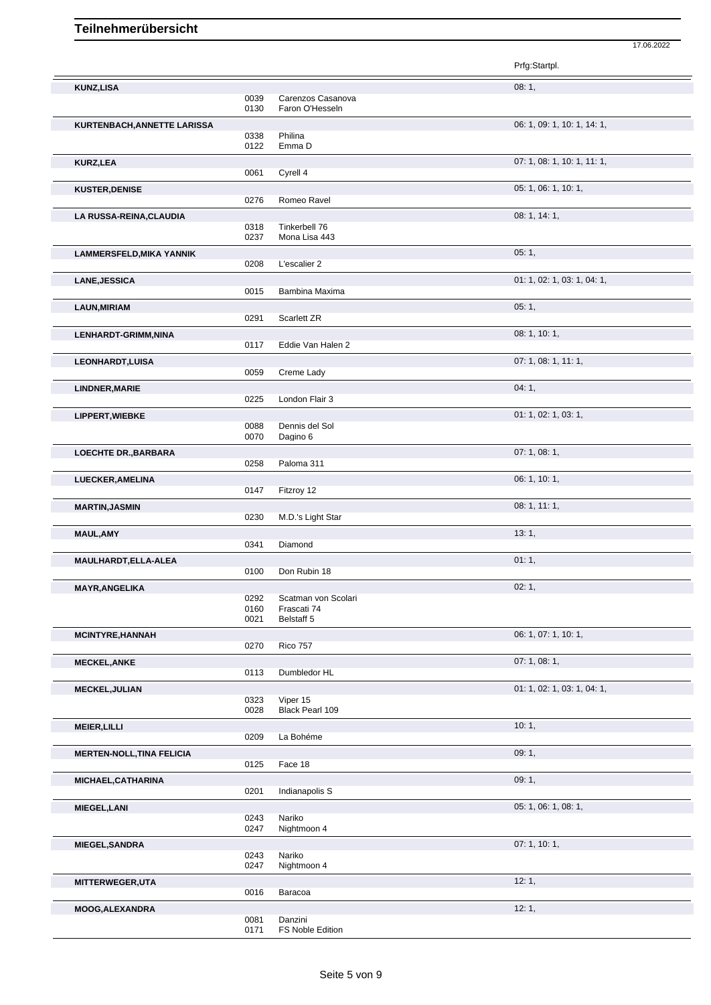|                                  |              |                           | Prfg:Startpl.               |
|----------------------------------|--------------|---------------------------|-----------------------------|
| <b>KUNZ,LISA</b>                 |              |                           | 08:1,                       |
|                                  | 0039         | Carenzos Casanova         |                             |
|                                  | 0130         | Faron O'Hesseln           |                             |
| KURTENBACH, ANNETTE LARISSA      | 0338         | Philina                   | 06: 1, 09: 1, 10: 1, 14: 1, |
|                                  | 0122         | Emma D                    |                             |
| <b>KURZ,LEA</b>                  |              |                           | 07: 1, 08: 1, 10: 1, 11: 1, |
|                                  | 0061         | Cyrell 4                  |                             |
| <b>KUSTER, DENISE</b>            | 0276         | Romeo Ravel               | 05: 1, 06: 1, 10: 1,        |
|                                  |              |                           | 08:1, 14:1,                 |
| LA RUSSA-REINA, CLAUDIA          | 0318         | Tinkerbell 76             |                             |
|                                  | 0237         | Mona Lisa 443             |                             |
| <b>LAMMERSFELD, MIKA YANNIK</b>  |              |                           | 05:1,                       |
|                                  | 0208         | L'escalier 2              |                             |
| <b>LANE, JESSICA</b>             | 0015         | Bambina Maxima            | 01: 1, 02: 1, 03: 1, 04: 1, |
| <b>LAUN, MIRIAM</b>              |              |                           | 05:1,                       |
|                                  | 0291         | Scarlett ZR               |                             |
| LENHARDT-GRIMM, NINA             |              |                           | 08: 1, 10: 1,               |
|                                  | 0117         | Eddie Van Halen 2         |                             |
| <b>LEONHARDT,LUISA</b>           | 0059         | Creme Lady                | 07: 1, 08: 1, 11: 1,        |
|                                  |              |                           | 04:1,                       |
| <b>LINDNER, MARIE</b>            | 0225         | London Flair 3            |                             |
| LIPPERT, WIEBKE                  |              |                           | 01: 1, 02: 1, 03: 1,        |
|                                  | 0088         | Dennis del Sol            |                             |
|                                  | 0070         | Dagino 6                  |                             |
| <b>LOECHTE DR., BARBARA</b>      | 0258         | Paloma 311                | 07: 1, 08: 1,               |
| LUECKER, AMELINA                 |              |                           | 06: 1, 10: 1,               |
|                                  | 0147         | Fitzroy 12                |                             |
| <b>MARTIN, JASMIN</b>            |              |                           | 08: 1, 11: 1,               |
|                                  | 0230         | M.D.'s Light Star         |                             |
| <b>MAUL, AMY</b>                 |              |                           | 13:1,                       |
|                                  | 0341         | Diamond                   |                             |
| MAULHARDT, ELLA-ALEA             | 0100         | Don Rubin 18              | 01:1,                       |
| MAYR, ANGELIKA                   |              |                           | 02:1,                       |
|                                  | 0292         | Scatman von Scolari       |                             |
|                                  | 0160<br>0021 | Frascati 74<br>Belstaff 5 |                             |
| <b>MCINTYRE, HANNAH</b>          |              |                           | 06: 1, 07: 1, 10: 1,        |
|                                  | 0270         | <b>Rico 757</b>           |                             |
| <b>MECKEL, ANKE</b>              |              |                           | 07:1,08:1,                  |
|                                  | 0113         | Dumbledor HL              |                             |
| <b>MECKEL, JULIAN</b>            | 0323         | Viper 15                  | 01: 1, 02: 1, 03: 1, 04: 1, |
|                                  | 0028         | Black Pearl 109           |                             |
| <b>MEIER, LILLI</b>              |              |                           | 10:1,                       |
|                                  | 0209         | La Bohéme                 |                             |
| <b>MERTEN-NOLL, TINA FELICIA</b> |              |                           | 09:1,                       |
|                                  | 0125         | Face 18                   |                             |
| MICHAEL, CATHARINA               | 0201         | Indianapolis S            | 09:1,                       |
| <b>MIEGEL,LANI</b>               |              |                           | 05: 1, 06: 1, 08: 1,        |
|                                  | 0243         | Nariko                    |                             |
|                                  | 0247         | Nightmoon 4               |                             |
| <b>MIEGEL, SANDRA</b>            |              |                           | 07: 1, 10: 1,               |
|                                  | 0243<br>0247 | Nariko<br>Nightmoon 4     |                             |
| MITTERWEGER, UTA                 |              |                           | 12:1,                       |
|                                  | 0016         | Baracoa                   |                             |
| MOOG, ALEXANDRA                  |              |                           | 12:1,                       |
|                                  | 0081         | Danzini                   |                             |

17.06.2022

0171 FS Noble Edition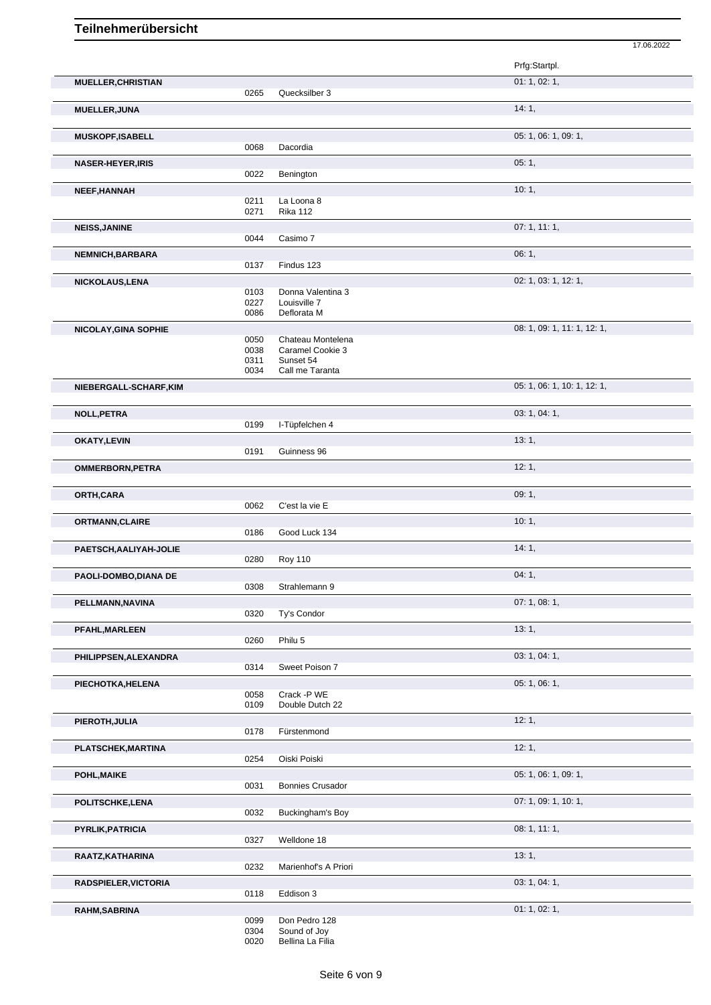|                           |              |                                   | Prfg:Startpl.               |
|---------------------------|--------------|-----------------------------------|-----------------------------|
| <b>MUELLER, CHRISTIAN</b> | 0265         | Quecksilber 3                     | 01: 1, 02: 1,               |
| <b>MUELLER, JUNA</b>      |              |                                   | 14:1,                       |
|                           |              |                                   | 05: 1, 06: 1, 09: 1,        |
| <b>MUSKOPF, ISABELL</b>   | 0068         | Dacordia                          |                             |
| <b>NASER-HEYER, IRIS</b>  |              |                                   | 05:1,                       |
| <b>NEEF, HANNAH</b>       | 0022         | Benington                         | 10:1,                       |
|                           | 0211<br>0271 | La Loona 8<br><b>Rika 112</b>     |                             |
| <b>NEISS, JANINE</b>      |              |                                   | 07:1, 11:1,                 |
|                           | 0044         | Casimo 7                          |                             |
| <b>NEMNICH, BARBARA</b>   | 0137         | Findus 123                        | 06:1,                       |
| <b>NICKOLAUS, LENA</b>    |              |                                   | 02: 1, 03: 1, 12: 1,        |
|                           | 0103<br>0227 | Donna Valentina 3<br>Louisville 7 |                             |
|                           | 0086         | Deflorata M                       |                             |
| NICOLAY, GINA SOPHIE      | 0050         | Chateau Montelena                 | 08: 1, 09: 1, 11: 1, 12: 1, |
|                           | 0038         | Caramel Cookie 3                  |                             |
|                           | 0311<br>0034 | Sunset 54<br>Call me Taranta      |                             |
| NIEBERGALL-SCHARF, KIM    |              |                                   | 05: 1, 06: 1, 10: 1, 12: 1, |
| <b>NOLL, PETRA</b>        |              |                                   | 03: 1, 04: 1,               |
|                           | 0199         | I-Tüpfelchen 4                    |                             |
| <b>OKATY, LEVIN</b>       | 0191         | Guinness 96                       | 13:1,                       |
| <b>OMMERBORN, PETRA</b>   |              |                                   | 12:1,                       |
|                           |              |                                   |                             |
| ORTH, CARA                | 0062         | C'est la vie E                    | 09:1,                       |
| <b>ORTMANN, CLAIRE</b>    |              |                                   | 10:1,                       |
|                           | 0186         | Good Luck 134                     |                             |
| PAETSCH, AALIYAH-JOLIE    | 0280         | <b>Roy 110</b>                    | 14:1,                       |
| PAOLI-DOMBO, DIANA DE     |              |                                   | 04:1,                       |
|                           | 0308         | Strahlemann 9                     |                             |
| PELLMANN, NAVINA          | 0320         | Ty's Condor                       | 07: 1, 08: 1,               |
| PFAHL, MARLEEN            |              |                                   | 13:1,                       |
|                           | 0260         | Philu 5                           |                             |
| PHILIPPSEN, ALEXANDRA     | 0314         | Sweet Poison 7                    | 03: 1, 04: 1,               |
| PIECHOTKA, HELENA         |              |                                   | 05: 1, 06: 1,               |
|                           | 0058<br>0109 | Crack -P WE<br>Double Dutch 22    |                             |
| PIEROTH, JULIA            |              |                                   | 12:1,                       |
|                           | 0178         | Fürstenmond                       |                             |
| PLATSCHEK, MARTINA        | 0254         | Oiski Poiski                      | 12:1,                       |
| POHL, MAIKE               |              |                                   | 05: 1, 06: 1, 09: 1,        |
|                           | 0031         | <b>Bonnies Crusador</b>           | 07: 1, 09: 1, 10: 1,        |
| POLITSCHKE, LENA          | 0032         | Buckingham's Boy                  |                             |
| PYRLIK, PATRICIA          |              |                                   | 08:1, 11:1,                 |
|                           | 0327         | Welldone 18                       | 13:1,                       |
| RAATZ, KATHARINA          | 0232         | Marienhof's A Priori              |                             |
| RADSPIELER, VICTORIA      |              | Eddison 3                         | 03: 1, 04: 1,               |
|                           | 0118         |                                   |                             |

**RAHM,SABRINA** 01: 1, 02: 1, 02: 1, 02: 1, 02: 1, 02: 1, 02: 1, 02: 1, 02: 1, 02: 1, 02: 1, 02: 1, 02: 1, 02: 1, 02: 1, 02: 1, 02: 1, 02: 1, 02: 1, 02: 1, 02: 1, 02: 1, 02: 1, 02: 1, 02: 0, 0, 0, 0, 0, 0, 0, 0, 0, 0, 0, 0,

17.06.2022

0099 Don Pedro 128 0304 Sound of Joy

0020 Bellina La Filia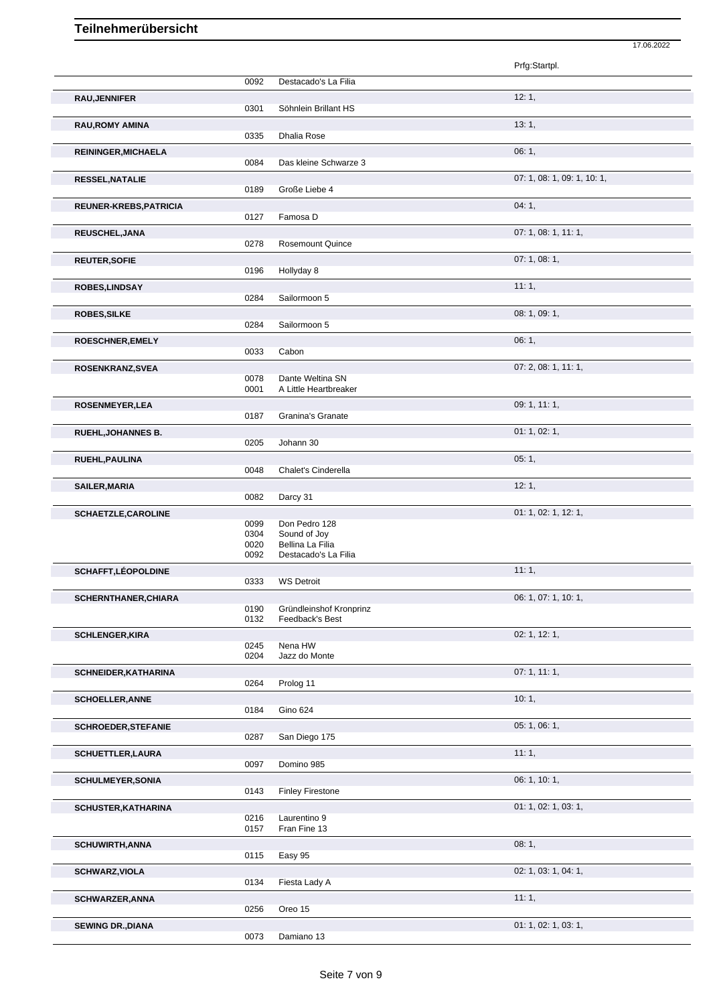|              |                                                      | Prfg:Startpl.                                                                                                                                                     |
|--------------|------------------------------------------------------|-------------------------------------------------------------------------------------------------------------------------------------------------------------------|
| 0092         | Destacado's La Filia                                 |                                                                                                                                                                   |
|              |                                                      | 12:1,                                                                                                                                                             |
| 0301         | Söhnlein Brillant HS                                 |                                                                                                                                                                   |
|              |                                                      | 13:1,                                                                                                                                                             |
|              |                                                      |                                                                                                                                                                   |
|              |                                                      | 06:1,                                                                                                                                                             |
|              |                                                      | 07: 1, 08: 1, 09: 1, 10: 1,                                                                                                                                       |
| 0189         | Große Liebe 4                                        |                                                                                                                                                                   |
|              |                                                      | 04:1,                                                                                                                                                             |
| 0127         | Famosa D                                             |                                                                                                                                                                   |
|              |                                                      | 07: 1, 08: 1, 11: 1,                                                                                                                                              |
|              |                                                      |                                                                                                                                                                   |
|              |                                                      | 07: 1, 08: 1,                                                                                                                                                     |
|              |                                                      |                                                                                                                                                                   |
| 0284         |                                                      | 11:1,                                                                                                                                                             |
|              |                                                      | 08: 1, 09: 1,                                                                                                                                                     |
| 0284         | Sailormoon 5                                         |                                                                                                                                                                   |
|              |                                                      | 06:1,                                                                                                                                                             |
| 0033         | Cabon                                                |                                                                                                                                                                   |
|              |                                                      | 07: 2, 08: 1, 11: 1,                                                                                                                                              |
|              |                                                      |                                                                                                                                                                   |
|              |                                                      | 09: 1, 11: 1,                                                                                                                                                     |
| 0187         | Granina's Granate                                    |                                                                                                                                                                   |
|              |                                                      | 01: 1, 02: 1,                                                                                                                                                     |
| 0205         | Johann 30                                            |                                                                                                                                                                   |
|              |                                                      | 05:1,                                                                                                                                                             |
|              |                                                      |                                                                                                                                                                   |
|              |                                                      |                                                                                                                                                                   |
|              |                                                      | 12:1,                                                                                                                                                             |
| 0082         | Darcy 31                                             |                                                                                                                                                                   |
| 0099         | Don Pedro 128                                        | 01: 1, 02: 1, 12: 1,                                                                                                                                              |
| 0304         | Sound of Joy                                         |                                                                                                                                                                   |
| 0020<br>0092 | Bellina La Filia<br>Destacado's La Filia             |                                                                                                                                                                   |
|              |                                                      |                                                                                                                                                                   |
| 0333         | <b>WS Detroit</b>                                    | 11:1,                                                                                                                                                             |
|              |                                                      | 06: 1, 07: 1, 10: 1,                                                                                                                                              |
| 0190         | Gründleinshof Kronprinz                              |                                                                                                                                                                   |
| 0132         | Feedback's Best                                      |                                                                                                                                                                   |
| 0245         | Nena HW                                              | 02: 1, 12: 1,                                                                                                                                                     |
| 0204         | Jazz do Monte                                        |                                                                                                                                                                   |
|              |                                                      | 07:1, 11:1,                                                                                                                                                       |
| 0264         | Prolog 11                                            |                                                                                                                                                                   |
|              |                                                      | 10:1,                                                                                                                                                             |
| 0184         | Gino 624                                             |                                                                                                                                                                   |
| 0287         | San Diego 175                                        | 05: 1, 06: 1,                                                                                                                                                     |
|              |                                                      | 11:1,                                                                                                                                                             |
| 0097         | Domino 985                                           |                                                                                                                                                                   |
|              |                                                      | 06: 1, 10: 1,                                                                                                                                                     |
| 0143         | <b>Finley Firestone</b>                              |                                                                                                                                                                   |
|              |                                                      | 01: 1, 02: 1, 03: 1,                                                                                                                                              |
| 0216<br>0157 | Laurentino 9<br>Fran Fine 13                         |                                                                                                                                                                   |
|              |                                                      | 08:1,                                                                                                                                                             |
| 0115         | Easy 95                                              |                                                                                                                                                                   |
|              |                                                      | 02: 1, 03: 1, 04: 1,                                                                                                                                              |
| 0134         | Fiesta Lady A                                        |                                                                                                                                                                   |
|              |                                                      | 11:1,                                                                                                                                                             |
| 0256         | Oreo 15                                              | 01: 1, 02: 1, 03: 1,                                                                                                                                              |
|              | 0335<br>0084<br>0278<br>0196<br>0078<br>0001<br>0048 | Dhalia Rose<br>Das kleine Schwarze 3<br><b>Rosemount Quince</b><br>Hollyday 8<br>Sailormoon 5<br>Dante Weltina SN<br>A Little Heartbreaker<br>Chalet's Cinderella |

17.06.2022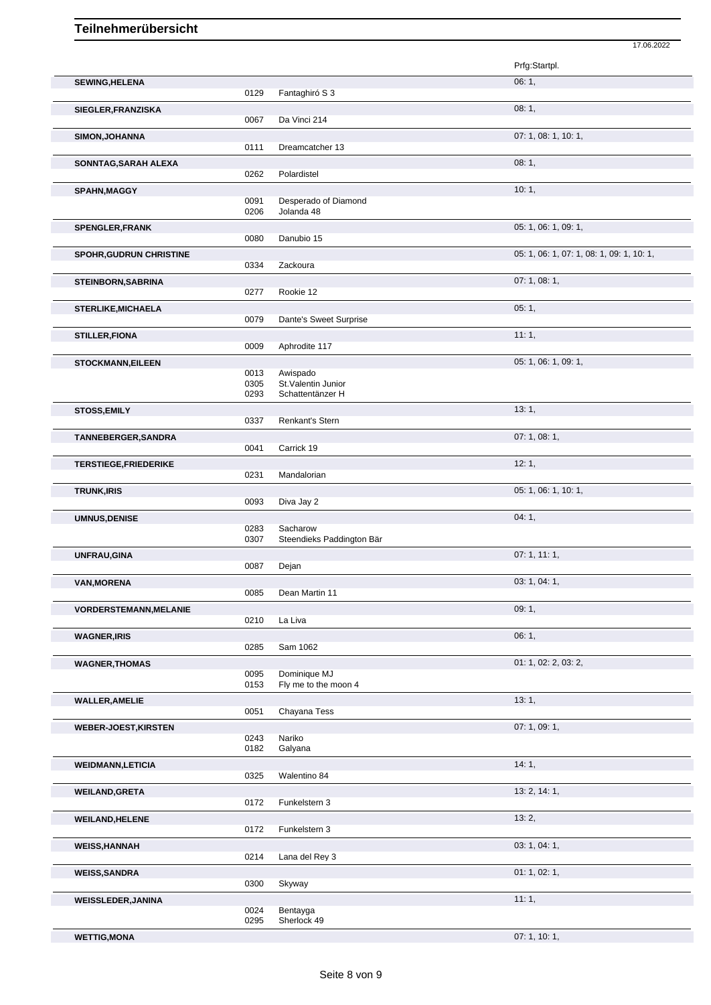|                                |      |                           | Prfg:Startpl.                             |
|--------------------------------|------|---------------------------|-------------------------------------------|
| <b>SEWING, HELENA</b>          | 0129 | Fantaghiró S 3            | 06:1,                                     |
| SIEGLER, FRANZISKA             |      |                           | 08:1,                                     |
|                                | 0067 | Da Vinci 214              |                                           |
| <b>SIMON, JOHANNA</b>          | 0111 | Dreamcatcher 13           | 07: 1, 08: 1, 10: 1,                      |
| SONNTAG, SARAH ALEXA           |      |                           | 08:1,                                     |
|                                | 0262 | Polardistel               |                                           |
| <b>SPAHN, MAGGY</b>            |      |                           | 10:1,                                     |
|                                | 0091 | Desperado of Diamond      |                                           |
|                                | 0206 | Jolanda 48                |                                           |
| <b>SPENGLER, FRANK</b>         | 0080 | Danubio 15                | 05: 1, 06: 1, 09: 1,                      |
|                                |      |                           | 05: 1, 06: 1, 07: 1, 08: 1, 09: 1, 10: 1, |
| <b>SPOHR, GUDRUN CHRISTINE</b> | 0334 | Zackoura                  |                                           |
|                                |      |                           | 07: 1, 08: 1,                             |
| <b>STEINBORN, SABRINA</b>      | 0277 | Rookie 12                 |                                           |
| <b>STERLIKE, MICHAELA</b>      |      |                           | 05:1,                                     |
|                                | 0079 | Dante's Sweet Surprise    |                                           |
| <b>STILLER, FIONA</b>          |      |                           | 11:1,                                     |
|                                | 0009 | Aphrodite 117             |                                           |
| <b>STOCKMANN, EILEEN</b>       |      |                           | 05: 1, 06: 1, 09: 1,                      |
|                                | 0013 | Awispado                  |                                           |
|                                | 0305 | St. Valentin Junior       |                                           |
|                                | 0293 | Schattentänzer H          |                                           |
| <b>STOSS, EMILY</b>            | 0337 | Renkant's Stern           | 13:1,                                     |
| TANNEBERGER, SANDRA            |      |                           | 07: 1, 08: 1,                             |
|                                | 0041 | Carrick 19                |                                           |
| <b>TERSTIEGE,FRIEDERIKE</b>    |      |                           | 12:1,                                     |
|                                | 0231 | Mandalorian               |                                           |
| <b>TRUNK, IRIS</b>             |      |                           | 05: 1, 06: 1, 10: 1,                      |
|                                | 0093 | Diva Jay 2                |                                           |
| <b>UMNUS, DENISE</b>           |      |                           | 04:1,                                     |
|                                | 0283 | Sacharow                  |                                           |
|                                | 0307 | Steendieks Paddington Bär |                                           |
| UNFRAU, GINA                   |      |                           | 07:1, 11:1,                               |
|                                | 0087 | Dejan                     |                                           |
| <b>VAN, MORENA</b>             |      |                           | 03: 1, 04: 1,                             |
|                                | 0085 | Dean Martin 11            |                                           |
| <b>VORDERSTEMANN, MELANIE</b>  |      |                           | 09:1,                                     |
|                                | 0210 | La Liva                   |                                           |
| <b>WAGNER, IRIS</b>            |      |                           | 06:1,                                     |
|                                | 0285 | Sam 1062                  |                                           |
| <b>WAGNER, THOMAS</b>          |      |                           | 01: 1, 02: 2, 03: 2,                      |
|                                | 0095 | Dominique MJ              |                                           |
|                                | 0153 | Fly me to the moon 4      |                                           |
| <b>WALLER, AMELIE</b>          |      |                           |                                           |
|                                |      |                           | 13:1,                                     |
|                                | 0051 | Chayana Tess              |                                           |
|                                |      |                           | 07:1,09:1,                                |
| <b>WEBER-JOEST, KIRSTEN</b>    | 0243 | Nariko                    |                                           |
|                                | 0182 | Galyana                   |                                           |
| <b>WEIDMANN,LETICIA</b>        |      |                           | 14:1,                                     |
|                                | 0325 | Walentino 84              |                                           |
| <b>WEILAND, GRETA</b>          |      |                           | 13: 2, 14: 1,                             |
|                                | 0172 | Funkelstern 3             |                                           |
|                                |      |                           | 13:2,                                     |
| <b>WEILAND, HELENE</b>         | 0172 | Funkelstern 3             |                                           |
|                                |      |                           |                                           |
| <b>WEISS, HANNAH</b>           | 0214 | Lana del Rey 3            | 03: 1, 04: 1,                             |
|                                |      |                           |                                           |
| <b>WEISS, SANDRA</b>           | 0300 |                           | 01: 1, 02: 1,                             |
|                                |      | Skyway                    |                                           |
| <b>WEISSLEDER, JANINA</b>      | 0024 | Bentayga                  | 11:1,                                     |

17.06.2022

**WETTIG,MONA** 07: 1, 10: 1,